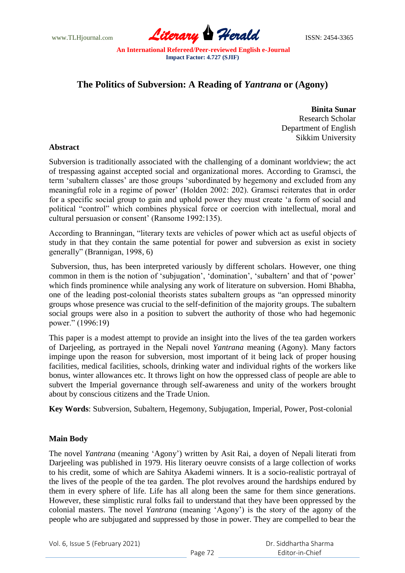www.TLHjournal.com **Literary Herald Herald** ISSN: 2454-3365

# **The Politics of Subversion: A Reading of** *Yantrana* **or (Agony)**

**Binita Sunar** Research Scholar Department of English Sikkim University

## **Abstract**

Subversion is traditionally associated with the challenging of a dominant worldview; the act of trespassing against accepted social and organizational mores. According to Gramsci, the term 'subaltern classes' are those groups 'subordinated by hegemony and excluded from any meaningful role in a regime of power' (Holden 2002: 202). Gramsci reiterates that in order for a specific social group to gain and uphold power they must create "a form of social and political "control" which combines physical force or coercion with intellectual, moral and cultural persuasion or consent" (Ransome 1992:135).

According to Branningan, "literary texts are vehicles of power which act as useful objects of study in that they contain the same potential for power and subversion as exist in society generally" (Brannigan, 1998, 6)

Subversion, thus, has been interpreted variously by different scholars. However, one thing common in them is the notion of 'subjugation', 'domination', 'subaltern' and that of 'power' which finds prominence while analysing any work of literature on subversion. Homi Bhabha, one of the leading post-colonial theorists states subaltern groups as "an oppressed minority groups whose presence was crucial to the self-definition of the majority groups. The subaltern social groups were also in a position to subvert the authority of those who had hegemonic power." (1996:19)

This paper is a modest attempt to provide an insight into the lives of the tea garden workers of Darjeeling, as portrayed in the Nepali novel *Yantrana* meaning (Agony). Many factors impinge upon the reason for subversion, most important of it being lack of proper housing facilities, medical facilities, schools, drinking water and individual rights of the workers like bonus, winter allowances etc. It throws light on how the oppressed class of people are able to subvert the Imperial governance through self-awareness and unity of the workers brought about by conscious citizens and the Trade Union.

**Key Words**: Subversion, Subaltern, Hegemony, Subjugation, Imperial, Power, Post-colonial

## **Main Body**

The novel *Yantrana* (meaning "Agony") written by Asit Rai, a doyen of Nepali literati from Darjeeling was published in 1979. His literary oeuvre consists of a large collection of works to his credit, some of which are Sahitya Akademi winners. It is a socio-realistic portrayal of the lives of the people of the tea garden. The plot revolves around the hardships endured by them in every sphere of life. Life has all along been the same for them since generations. However, these simplistic rural folks fail to understand that they have been oppressed by the colonial masters. The novel *Yantrana* (meaning "Agony") is the story of the agony of the people who are subjugated and suppressed by those in power. They are compelled to bear the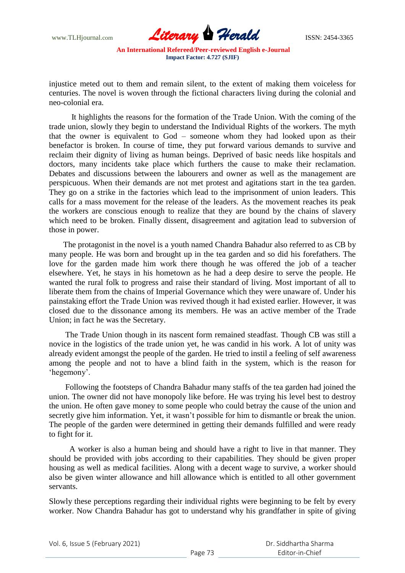

injustice meted out to them and remain silent, to the extent of making them voiceless for centuries. The novel is woven through the fictional characters living during the colonial and neo-colonial era.

 It highlights the reasons for the formation of the Trade Union. With the coming of the trade union, slowly they begin to understand the Individual Rights of the workers. The myth that the owner is equivalent to God – someone whom they had looked upon as their benefactor is broken. In course of time, they put forward various demands to survive and reclaim their dignity of living as human beings. Deprived of basic needs like hospitals and doctors, many incidents take place which furthers the cause to make their reclamation. Debates and discussions between the labourers and owner as well as the management are perspicuous. When their demands are not met protest and agitations start in the tea garden. They go on a strike in the factories which lead to the imprisonment of union leaders. This calls for a mass movement for the release of the leaders. As the movement reaches its peak the workers are conscious enough to realize that they are bound by the chains of slavery which need to be broken. Finally dissent, disagreement and agitation lead to subversion of those in power.

 The protagonist in the novel is a youth named Chandra Bahadur also referred to as CB by many people. He was born and brought up in the tea garden and so did his forefathers. The love for the garden made him work there though he was offered the job of a teacher elsewhere. Yet, he stays in his hometown as he had a deep desire to serve the people. He wanted the rural folk to progress and raise their standard of living. Most important of all to liberate them from the chains of Imperial Governance which they were unaware of. Under his painstaking effort the Trade Union was revived though it had existed earlier. However, it was closed due to the dissonance among its members. He was an active member of the Trade Union; in fact he was the Secretary.

 The Trade Union though in its nascent form remained steadfast. Though CB was still a novice in the logistics of the trade union yet, he was candid in his work. A lot of unity was already evident amongst the people of the garden. He tried to instil a feeling of self awareness among the people and not to have a blind faith in the system, which is the reason for 'hegemony'.

 Following the footsteps of Chandra Bahadur many staffs of the tea garden had joined the union. The owner did not have monopoly like before. He was trying his level best to destroy the union. He often gave money to some people who could betray the cause of the union and secretly give him information. Yet, it wasn't possible for him to dismantle or break the union. The people of the garden were determined in getting their demands fulfilled and were ready to fight for it.

 A worker is also a human being and should have a right to live in that manner. They should be provided with jobs according to their capabilities. They should be given proper housing as well as medical facilities. Along with a decent wage to survive, a worker should also be given winter allowance and hill allowance which is entitled to all other government servants.

Slowly these perceptions regarding their individual rights were beginning to be felt by every worker. Now Chandra Bahadur has got to understand why his grandfather in spite of giving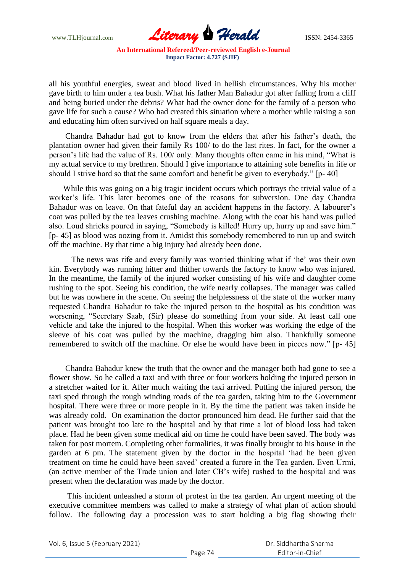

all his youthful energies, sweat and blood lived in hellish circumstances. Why his mother gave birth to him under a tea bush. What his father Man Bahadur got after falling from a cliff and being buried under the debris? What had the owner done for the family of a person who gave life for such a cause? Who had created this situation where a mother while raising a son and educating him often survived on half square meals a day.

 Chandra Bahadur had got to know from the elders that after his father"s death, the plantation owner had given their family Rs 100/ to do the last rites. In fact, for the owner a person"s life had the value of Rs. 100/ only. Many thoughts often came in his mind, "What is my actual service to my brethren. Should I give importance to attaining sole benefits in life or should I strive hard so that the same comfort and benefit be given to everybody." [p- 40]

 While this was going on a big tragic incident occurs which portrays the trivial value of a worker"s life. This later becomes one of the reasons for subversion. One day Chandra Bahadur was on leave. On that fateful day an accident happens in the factory. A labourer's coat was pulled by the tea leaves crushing machine. Along with the coat his hand was pulled also. Loud shrieks poured in saying, "Somebody is killed! Hurry up, hurry up and save him." [p- 45] as blood was oozing from it. Amidst this somebody remembered to run up and switch off the machine. By that time a big injury had already been done.

 The news was rife and every family was worried thinking what if "he" was their own kin. Everybody was running hitter and thither towards the factory to know who was injured. In the meantime, the family of the injured worker consisting of his wife and daughter come rushing to the spot. Seeing his condition, the wife nearly collapses. The manager was called but he was nowhere in the scene. On seeing the helplessness of the state of the worker many requested Chandra Bahadur to take the injured person to the hospital as his condition was worsening, "Secretary Saab, (Sir) please do something from your side. At least call one vehicle and take the injured to the hospital. When this worker was working the edge of the sleeve of his coat was pulled by the machine, dragging him also. Thankfully someone remembered to switch off the machine. Or else he would have been in pieces now." [p- 45]

 Chandra Bahadur knew the truth that the owner and the manager both had gone to see a flower show. So he called a taxi and with three or four workers holding the injured person in a stretcher waited for it. After much waiting the taxi arrived. Putting the injured person, the taxi sped through the rough winding roads of the tea garden, taking him to the Government hospital. There were three or more people in it. By the time the patient was taken inside he was already cold. On examination the doctor pronounced him dead. He further said that the patient was brought too late to the hospital and by that time a lot of blood loss had taken place. Had he been given some medical aid on time he could have been saved. The body was taken for post mortem. Completing other formalities, it was finally brought to his house in the garden at 6 pm. The statement given by the doctor in the hospital "had he been given treatment on time he could have been saved" created a furore in the Tea garden. Even Urmi, (an active member of the Trade union and later CB"s wife) rushed to the hospital and was present when the declaration was made by the doctor.

 This incident unleashed a storm of protest in the tea garden. An urgent meeting of the executive committee members was called to make a strategy of what plan of action should follow. The following day a procession was to start holding a big flag showing their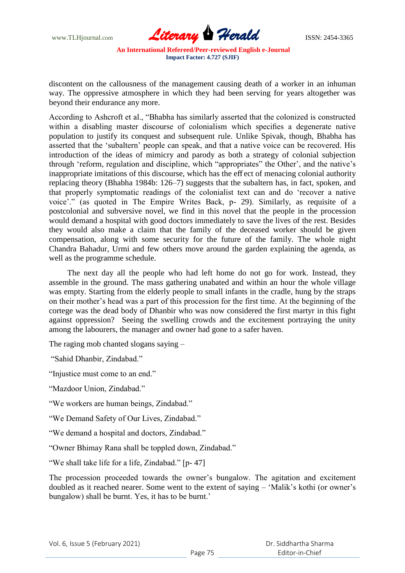

discontent on the callousness of the management causing death of a worker in an inhuman way. The oppressive atmosphere in which they had been serving for years altogether was beyond their endurance any more.

According to Ashcroft et al., "Bhabha has similarly asserted that the colonized is constructed within a disabling master discourse of colonialism which specifies a degenerate native population to justify its conquest and subsequent rule. Unlike Spivak, though, Bhabha has asserted that the "subaltern" people can speak, and that a native voice can be recovered. His introduction of the ideas of mimicry and parody as both a strategy of colonial subjection through 'reform, regulation and discipline, which "appropriates" the Other', and the native's inappropriate imitations of this discourse, which has the eff ect of menacing colonial authority replacing theory (Bhabha 1984b: 126–7) suggests that the subaltern has, in fact, spoken, and that properly symptomatic readings of the colonialist text can and do "recover a native voice"." (as quoted in The Empire Writes Back, p- 29). Similarly, as requisite of a postcolonial and subversive novel, we find in this novel that the people in the procession would demand a hospital with good doctors immediately to save the lives of the rest. Besides they would also make a claim that the family of the deceased worker should be given compensation, along with some security for the future of the family. The whole night Chandra Bahadur, Urmi and few others move around the garden explaining the agenda, as well as the programme schedule.

 The next day all the people who had left home do not go for work. Instead, they assemble in the ground. The mass gathering unabated and within an hour the whole village was empty. Starting from the elderly people to small infants in the cradle, hung by the straps on their mother"s head was a part of this procession for the first time. At the beginning of the cortege was the dead body of Dhanbir who was now considered the first martyr in this fight against oppression? Seeing the swelling crowds and the excitement portraying the unity among the labourers, the manager and owner had gone to a safer haven.

The raging mob chanted slogans saying –

"Sahid Dhanbir, Zindabad."

"Injustice must come to an end."

"Mazdoor Union, Zindabad."

"We workers are human beings, Zindabad."

"We Demand Safety of Our Lives, Zindabad."

"We demand a hospital and doctors, Zindabad."

"Owner Bhimay Rana shall be toppled down, Zindabad."

"We shall take life for a life, Zindabad." [p- 47]

The procession proceeded towards the owner"s bungalow. The agitation and excitement doubled as it reached nearer. Some went to the extent of saying – "Malik"s kothi (or owner"s bungalow) shall be burnt. Yes, it has to be burnt.'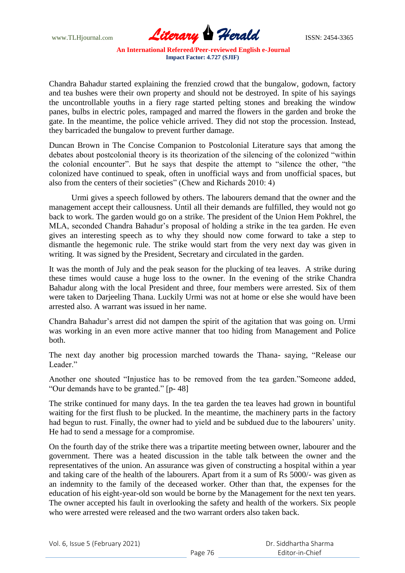

Chandra Bahadur started explaining the frenzied crowd that the bungalow, godown, factory and tea bushes were their own property and should not be destroyed. In spite of his sayings the uncontrollable youths in a fiery rage started pelting stones and breaking the window panes, bulbs in electric poles, rampaged and marred the flowers in the garden and broke the gate. In the meantime, the police vehicle arrived. They did not stop the procession. Instead, they barricaded the bungalow to prevent further damage.

Duncan Brown in The Concise Companion to Postcolonial Literature says that among the debates about postcolonial theory is its theorization of the silencing of the colonized "within the colonial encounter". But he says that despite the attempt to "silence the other, "the colonized have continued to speak, often in unofficial ways and from unofficial spaces, but also from the centers of their societies" (Chew and Richards 2010: 4)

 Urmi gives a speech followed by others. The labourers demand that the owner and the management accept their callousness. Until all their demands are fulfilled, they would not go back to work. The garden would go on a strike. The president of the Union Hem Pokhrel, the MLA, seconded Chandra Bahadur"s proposal of holding a strike in the tea garden. He even gives an interesting speech as to why they should now come forward to take a step to dismantle the hegemonic rule. The strike would start from the very next day was given in writing. It was signed by the President, Secretary and circulated in the garden.

It was the month of July and the peak season for the plucking of tea leaves. A strike during these times would cause a huge loss to the owner. In the evening of the strike Chandra Bahadur along with the local President and three, four members were arrested. Six of them were taken to Darjeeling Thana. Luckily Urmi was not at home or else she would have been arrested also. A warrant was issued in her name.

Chandra Bahadur"s arrest did not dampen the spirit of the agitation that was going on. Urmi was working in an even more active manner that too hiding from Management and Police both.

The next day another big procession marched towards the Thana- saying, "Release our Leader<sup>"</sup>

Another one shouted "Injustice has to be removed from the tea garden."Someone added, "Our demands have to be granted." [p- 48]

The strike continued for many days. In the tea garden the tea leaves had grown in bountiful waiting for the first flush to be plucked. In the meantime, the machinery parts in the factory had begun to rust. Finally, the owner had to yield and be subdued due to the labourers' unity. He had to send a message for a compromise.

On the fourth day of the strike there was a tripartite meeting between owner, labourer and the government. There was a heated discussion in the table talk between the owner and the representatives of the union. An assurance was given of constructing a hospital within a year and taking care of the health of the labourers. Apart from it a sum of Rs 5000/- was given as an indemnity to the family of the deceased worker. Other than that, the expenses for the education of his eight-year-old son would be borne by the Management for the next ten years. The owner accepted his fault in overlooking the safety and health of the workers. Six people who were arrested were released and the two warrant orders also taken back.